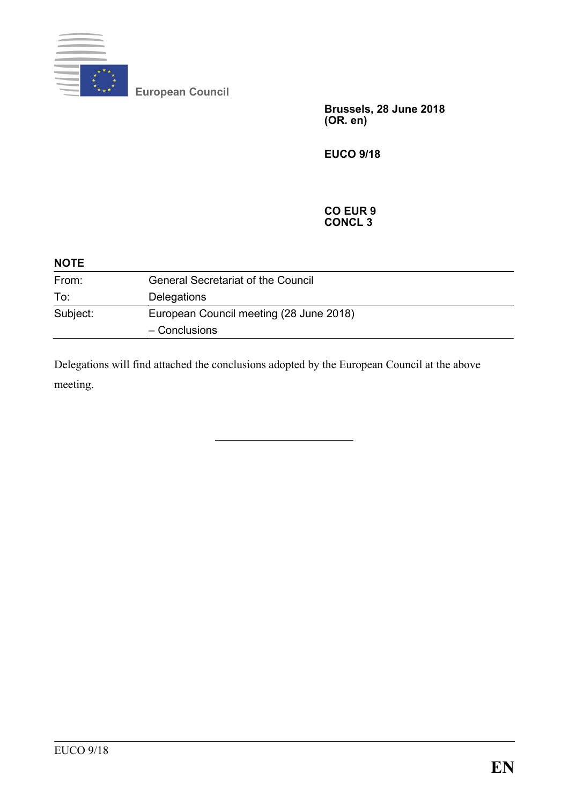

**European Council**

**Brussels, 28 June 2018 (OR. en)**

**EUCO 9/18**

#### **CO EUR 9 CONCL 3**

| <b>NOTE</b> |                                           |
|-------------|-------------------------------------------|
| From:       | <b>General Secretariat of the Council</b> |
| To:         | Delegations                               |
| Subject:    | European Council meeting (28 June 2018)   |
|             | - Conclusions                             |

Delegations will find attached the conclusions adopted by the European Council at the above meeting.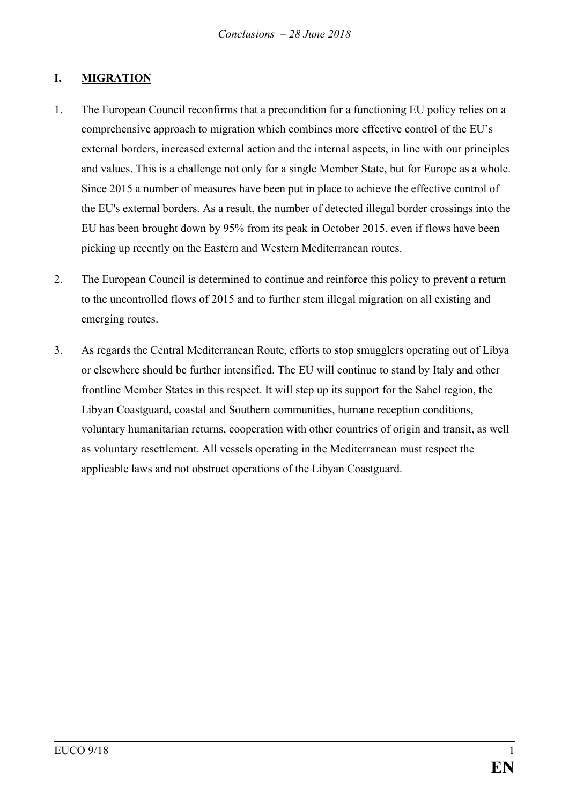## **I. MIGRATION**

- 1. The European Council reconfirms that a precondition for a functioning EU policy relies on a comprehensive approach to migration which combines more effective control of the EU's external borders, increased external action and the internal aspects, in line with our principles and values. This is a challenge not only for a single Member State, but for Europe as a whole. Since 2015 a number of measures have been put in place to achieve the effective control of the EU's external borders. As a result, the number of detected illegal border crossings into the EU has been brought down by 95% from its peak in October 2015, even if flows have been picking up recently on the Eastern and Western Mediterranean routes.
- 2. The European Council is determined to continue and reinforce this policy to prevent a return to the uncontrolled flows of 2015 and to further stem illegal migration on all existing and emerging routes.
- 3. As regards the Central Mediterranean Route, efforts to stop smugglers operating out of Libya or elsewhere should be further intensified. The EU will continue to stand by Italy and other frontline Member States in this respect. It will step up its support for the Sahel region, the Libyan Coastguard, coastal and Southern communities, humane reception conditions, voluntary humanitarian returns, cooperation with other countries of origin and transit, as well as voluntary resettlement. All vessels operating in the Mediterranean must respect the applicable laws and not obstruct operations of the Libyan Coastguard.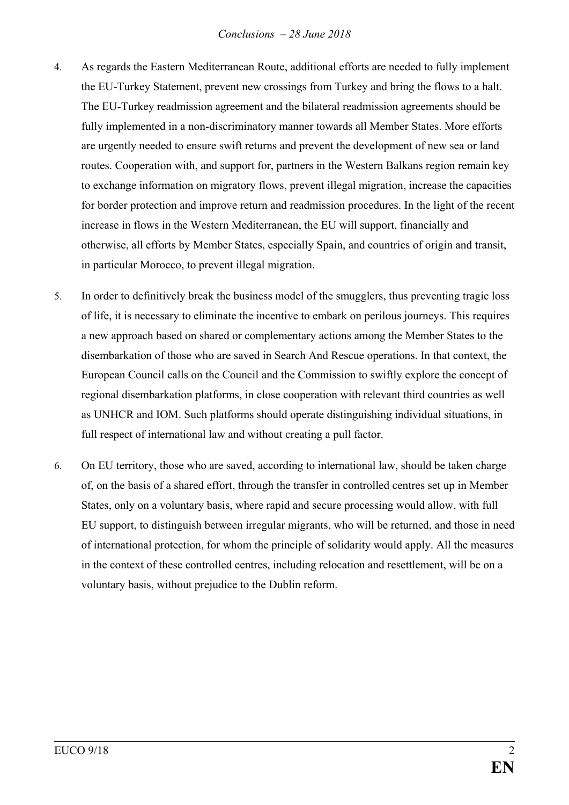- 4. As regards the Eastern Mediterranean Route, additional efforts are needed to fully implement the EU-Turkey Statement, prevent new crossings from Turkey and bring the flows to a halt. The EU-Turkey readmission agreement and the bilateral readmission agreements should be fully implemented in a non-discriminatory manner towards all Member States. More efforts are urgently needed to ensure swift returns and prevent the development of new sea or land routes. Cooperation with, and support for, partners in the Western Balkans region remain key to exchange information on migratory flows, prevent illegal migration, increase the capacities for border protection and improve return and readmission procedures. In the light of the recent increase in flows in the Western Mediterranean, the EU will support, financially and otherwise, all efforts by Member States, especially Spain, and countries of origin and transit, in particular Morocco, to prevent illegal migration.
- 5. In order to definitively break the business model of the smugglers, thus preventing tragic loss of life, it is necessary to eliminate the incentive to embark on perilous journeys. This requires a new approach based on shared or complementary actions among the Member States to the disembarkation of those who are saved in Search And Rescue operations. In that context, the European Council calls on the Council and the Commission to swiftly explore the concept of regional disembarkation platforms, in close cooperation with relevant third countries as well as UNHCR and IOM. Such platforms should operate distinguishing individual situations, in full respect of international law and without creating a pull factor.
- 6. On EU territory, those who are saved, according to international law, should be taken charge of, on the basis of a shared effort, through the transfer in controlled centres set up in Member States, only on a voluntary basis, where rapid and secure processing would allow, with full EU support, to distinguish between irregular migrants, who will be returned, and those in need of international protection, for whom the principle of solidarity would apply. All the measures in the context of these controlled centres, including relocation and resettlement, will be on a voluntary basis, without prejudice to the Dublin reform.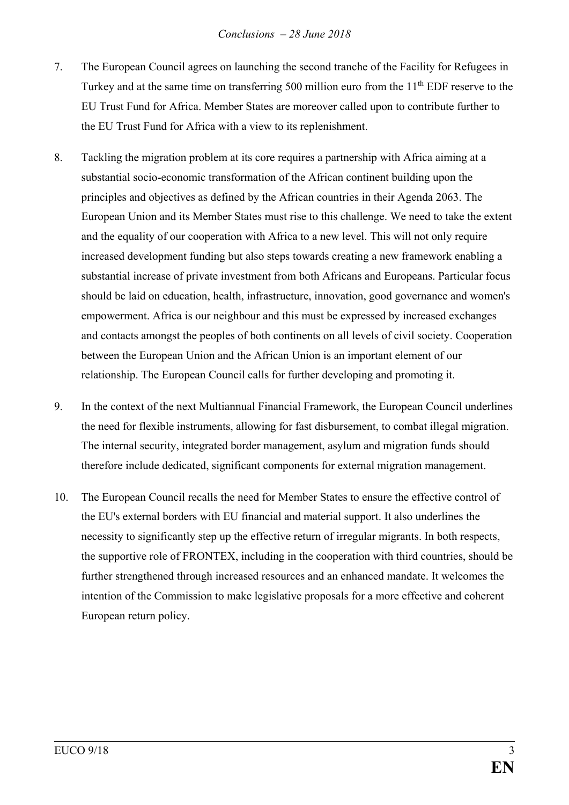- 7. The European Council agrees on launching the second tranche of the Facility for Refugees in Turkey and at the same time on transferring 500 million euro from the 11<sup>th</sup> EDF reserve to the EU Trust Fund for Africa. Member States are moreover called upon to contribute further to the EU Trust Fund for Africa with a view to its replenishment.
- 8. Tackling the migration problem at its core requires a partnership with Africa aiming at a substantial socio-economic transformation of the African continent building upon the principles and objectives as defined by the African countries in their Agenda 2063. The European Union and its Member States must rise to this challenge. We need to take the extent and the equality of our cooperation with Africa to a new level. This will not only require increased development funding but also steps towards creating a new framework enabling a substantial increase of private investment from both Africans and Europeans. Particular focus should be laid on education, health, infrastructure, innovation, good governance and women's empowerment. Africa is our neighbour and this must be expressed by increased exchanges and contacts amongst the peoples of both continents on all levels of civil society. Cooperation between the European Union and the African Union is an important element of our relationship. The European Council calls for further developing and promoting it.
- 9. In the context of the next Multiannual Financial Framework, the European Council underlines the need for flexible instruments, allowing for fast disbursement, to combat illegal migration. The internal security, integrated border management, asylum and migration funds should therefore include dedicated, significant components for external migration management.
- 10. The European Council recalls the need for Member States to ensure the effective control of the EU's external borders with EU financial and material support. It also underlines the necessity to significantly step up the effective return of irregular migrants. In both respects, the supportive role of FRONTEX, including in the cooperation with third countries, should be further strengthened through increased resources and an enhanced mandate. It welcomes the intention of the Commission to make legislative proposals for a more effective and coherent European return policy.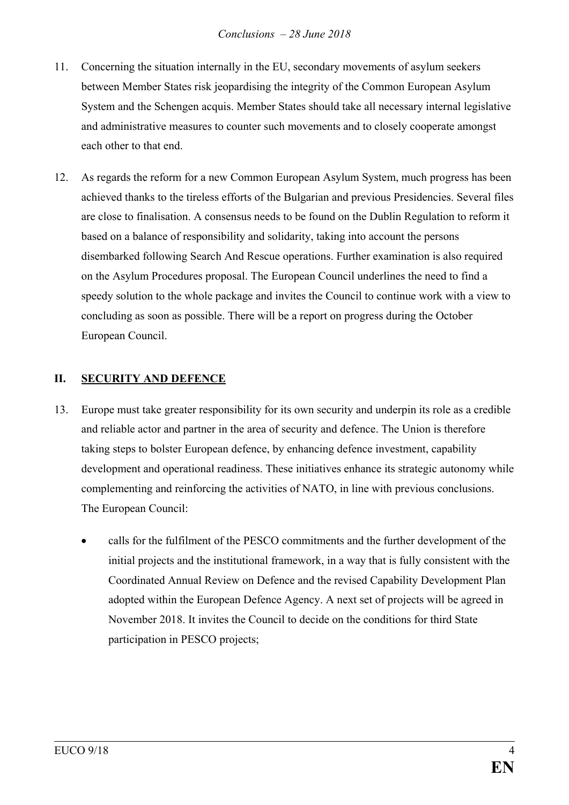- 11. Concerning the situation internally in the EU, secondary movements of asylum seekers between Member States risk jeopardising the integrity of the Common European Asylum System and the Schengen acquis. Member States should take all necessary internal legislative and administrative measures to counter such movements and to closely cooperate amongst each other to that end.
- 12. As regards the reform for a new Common European Asylum System, much progress has been achieved thanks to the tireless efforts of the Bulgarian and previous Presidencies. Several files are close to finalisation. A consensus needs to be found on the Dublin Regulation to reform it based on a balance of responsibility and solidarity, taking into account the persons disembarked following Search And Rescue operations. Further examination is also required on the Asylum Procedures proposal. The European Council underlines the need to find a speedy solution to the whole package and invites the Council to continue work with a view to concluding as soon as possible. There will be a report on progress during the October European Council.

# **II. SECURITY AND DEFENCE**

- 13. Europe must take greater responsibility for its own security and underpin its role as a credible and reliable actor and partner in the area of security and defence. The Union is therefore taking steps to bolster European defence, by enhancing defence investment, capability development and operational readiness. These initiatives enhance its strategic autonomy while complementing and reinforcing the activities of NATO, in line with previous conclusions. The European Council:
	- calls for the fulfilment of the PESCO commitments and the further development of the initial projects and the institutional framework, in a way that is fully consistent with the Coordinated Annual Review on Defence and the revised Capability Development Plan adopted within the European Defence Agency. A next set of projects will be agreed in November 2018. It invites the Council to decide on the conditions for third State participation in PESCO projects;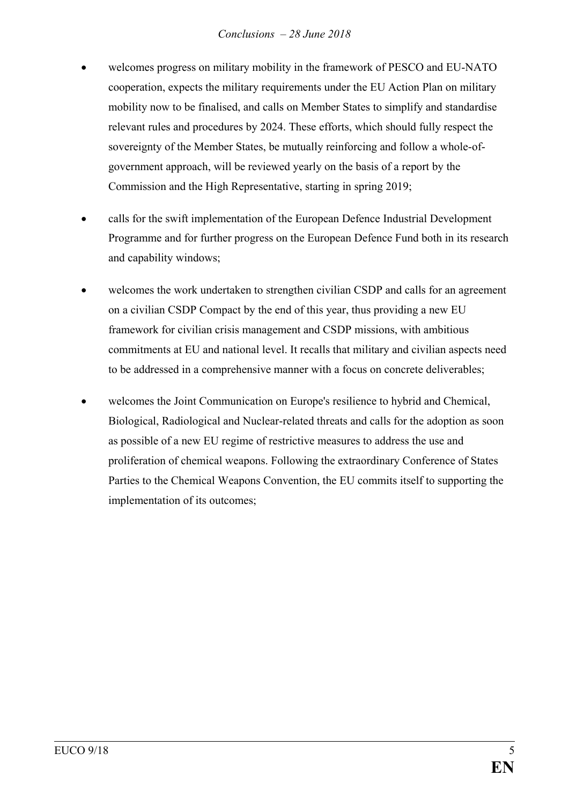- welcomes progress on military mobility in the framework of PESCO and EU-NATO cooperation, expects the military requirements under the EU Action Plan on military mobility now to be finalised, and calls on Member States to simplify and standardise relevant rules and procedures by 2024. These efforts, which should fully respect the sovereignty of the Member States, be mutually reinforcing and follow a whole-ofgovernment approach, will be reviewed yearly on the basis of a report by the Commission and the High Representative, starting in spring 2019;
- calls for the swift implementation of the European Defence Industrial Development Programme and for further progress on the European Defence Fund both in its research and capability windows;
- welcomes the work undertaken to strengthen civilian CSDP and calls for an agreement on a civilian CSDP Compact by the end of this year, thus providing a new EU framework for civilian crisis management and CSDP missions, with ambitious commitments at EU and national level. It recalls that military and civilian aspects need to be addressed in a comprehensive manner with a focus on concrete deliverables;
- welcomes the Joint Communication on Europe's resilience to hybrid and Chemical, Biological, Radiological and Nuclear-related threats and calls for the adoption as soon as possible of a new EU regime of restrictive measures to address the use and proliferation of chemical weapons. Following the extraordinary Conference of States Parties to the Chemical Weapons Convention, the EU commits itself to supporting the implementation of its outcomes;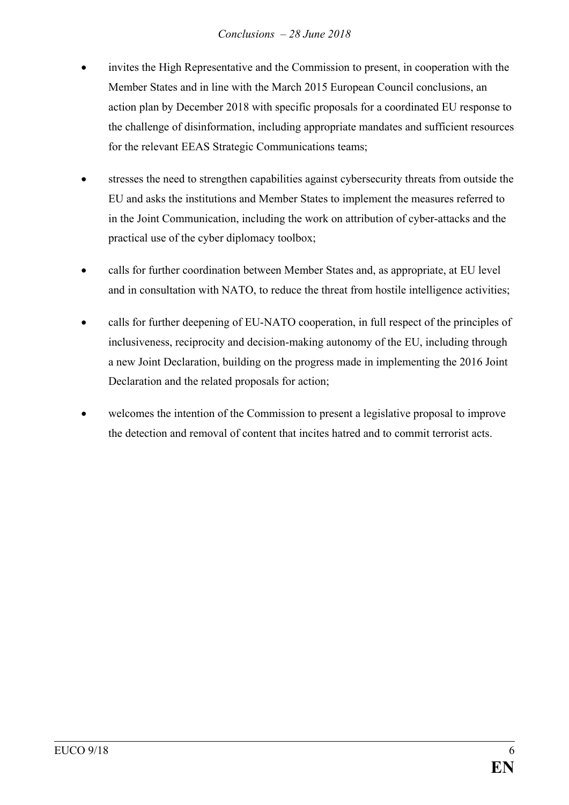- invites the High Representative and the Commission to present, in cooperation with the Member States and in line with the March 2015 European Council conclusions, an action plan by December 2018 with specific proposals for a coordinated EU response to the challenge of disinformation, including appropriate mandates and sufficient resources for the relevant EEAS Strategic Communications teams;
- stresses the need to strengthen capabilities against cybersecurity threats from outside the EU and asks the institutions and Member States to implement the measures referred to in the Joint Communication, including the work on attribution of cyber-attacks and the practical use of the cyber diplomacy toolbox;
- calls for further coordination between Member States and, as appropriate, at EU level and in consultation with NATO, to reduce the threat from hostile intelligence activities;
- calls for further deepening of EU-NATO cooperation, in full respect of the principles of inclusiveness, reciprocity and decision-making autonomy of the EU, including through a new Joint Declaration, building on the progress made in implementing the 2016 Joint Declaration and the related proposals for action;
- welcomes the intention of the Commission to present a legislative proposal to improve the detection and removal of content that incites hatred and to commit terrorist acts.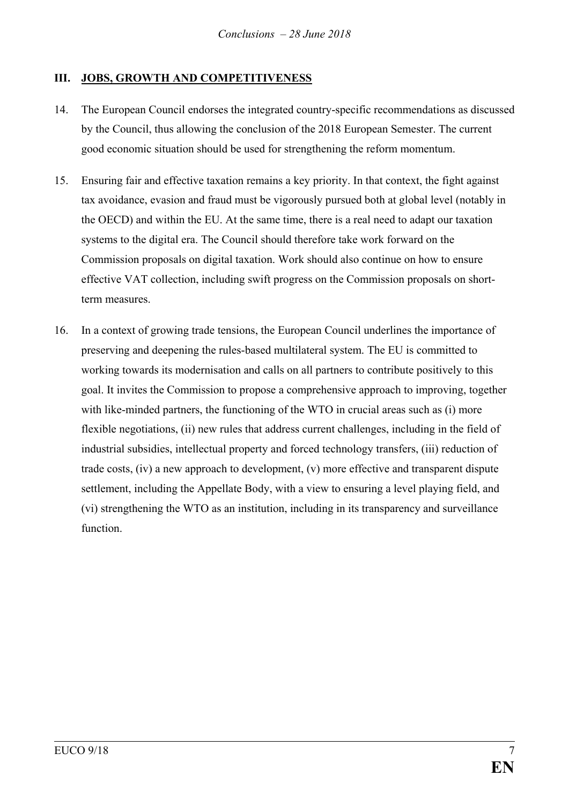### **III. JOBS, GROWTH AND COMPETITIVENESS**

- 14. The European Council endorses the integrated country-specific recommendations as discussed by the Council, thus allowing the conclusion of the 2018 European Semester. The current good economic situation should be used for strengthening the reform momentum.
- 15. Ensuring fair and effective taxation remains a key priority. In that context, the fight against tax avoidance, evasion and fraud must be vigorously pursued both at global level (notably in the OECD) and within the EU. At the same time, there is a real need to adapt our taxation systems to the digital era. The Council should therefore take work forward on the Commission proposals on digital taxation. Work should also continue on how to ensure effective VAT collection, including swift progress on the Commission proposals on shortterm measures.
- 16. In a context of growing trade tensions, the European Council underlines the importance of preserving and deepening the rules-based multilateral system. The EU is committed to working towards its modernisation and calls on all partners to contribute positively to this goal. It invites the Commission to propose a comprehensive approach to improving, together with like-minded partners, the functioning of the WTO in crucial areas such as (i) more flexible negotiations, (ii) new rules that address current challenges, including in the field of industrial subsidies, intellectual property and forced technology transfers, (iii) reduction of trade costs, (iv) a new approach to development, (v) more effective and transparent dispute settlement, including the Appellate Body, with a view to ensuring a level playing field, and (vi) strengthening the WTO as an institution, including in its transparency and surveillance function.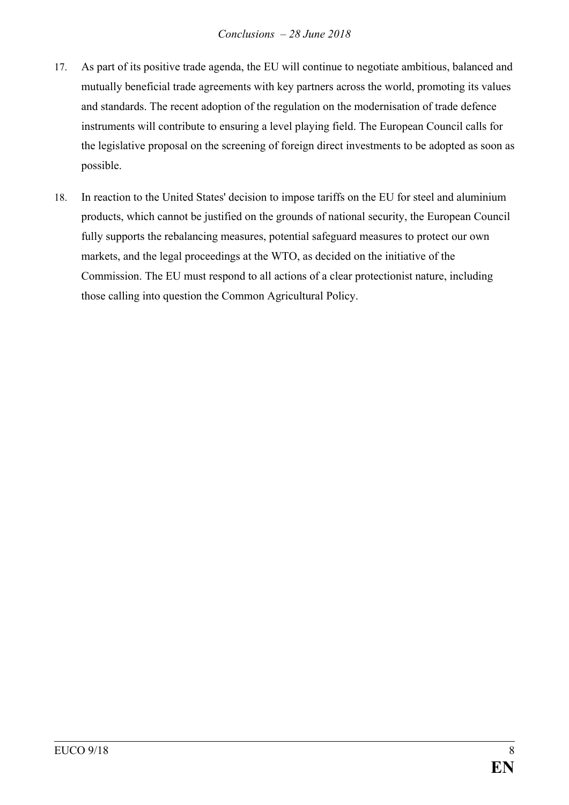- 17. As part of its positive trade agenda, the EU will continue to negotiate ambitious, balanced and mutually beneficial trade agreements with key partners across the world, promoting its values and standards. The recent adoption of the regulation on the modernisation of trade defence instruments will contribute to ensuring a level playing field. The European Council calls for the legislative proposal on the screening of foreign direct investments to be adopted as soon as possible.
- 18. In reaction to the United States' decision to impose tariffs on the EU for steel and aluminium products, which cannot be justified on the grounds of national security, the European Council fully supports the rebalancing measures, potential safeguard measures to protect our own markets, and the legal proceedings at the WTO, as decided on the initiative of the Commission. The EU must respond to all actions of a clear protectionist nature, including those calling into question the Common Agricultural Policy.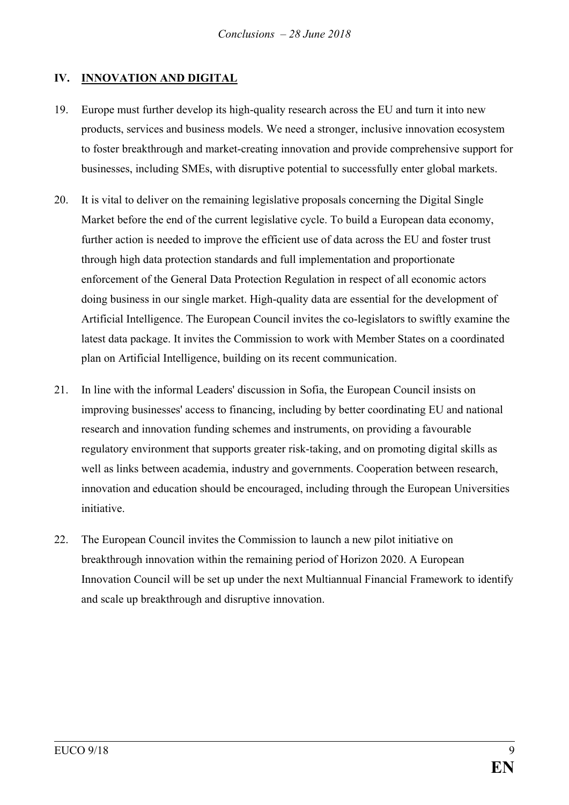### **IV. INNOVATION AND DIGITAL**

- 19. Europe must further develop its high-quality research across the EU and turn it into new products, services and business models. We need a stronger, inclusive innovation ecosystem to foster breakthrough and market-creating innovation and provide comprehensive support for businesses, including SMEs, with disruptive potential to successfully enter global markets.
- 20. It is vital to deliver on the remaining legislative proposals concerning the Digital Single Market before the end of the current legislative cycle. To build a European data economy, further action is needed to improve the efficient use of data across the EU and foster trust through high data protection standards and full implementation and proportionate enforcement of the General Data Protection Regulation in respect of all economic actors doing business in our single market. High-quality data are essential for the development of Artificial Intelligence. The European Council invites the co-legislators to swiftly examine the latest data package. It invites the Commission to work with Member States on a coordinated plan on Artificial Intelligence, building on its recent communication.
- 21. In line with the informal Leaders' discussion in Sofia, the European Council insists on improving businesses' access to financing, including by better coordinating EU and national research and innovation funding schemes and instruments, on providing a favourable regulatory environment that supports greater risk-taking, and on promoting digital skills as well as links between academia, industry and governments. Cooperation between research, innovation and education should be encouraged, including through the European Universities initiative.
- 22. The European Council invites the Commission to launch a new pilot initiative on breakthrough innovation within the remaining period of Horizon 2020. A European Innovation Council will be set up under the next Multiannual Financial Framework to identify and scale up breakthrough and disruptive innovation.